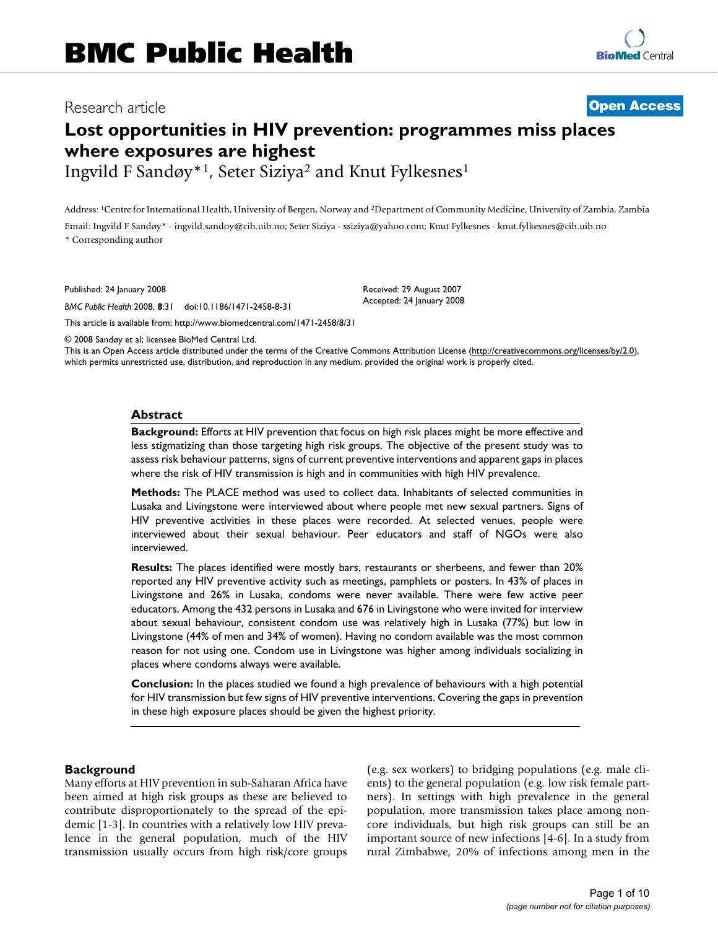# Research article **[Open Access](http://www.biomedcentral.com/info/about/charter/)**

# **Lost opportunities in HIV prevention: programmes miss places where exposures are highest**

Ingvild F Sandøy\*1, Seter Siziya2 and Knut Fylkesnes1

Address: 1Centre for International Health, University of Bergen, Norway and 2Department of Community Medicine, University of Zambia, Zambia Email: Ingvild F Sandøy\* - ingvild.sandoy@cih.uib.no; Seter Siziya - ssiziya@yahoo.com; Knut Fylkesnes - knut.fylkesnes@cih.uib.no \* Corresponding author

> Received: 29 August 2007 Accepted: 24 January 2008

Published: 24 January 2008

*BMC Public Health* 2008, **8**:31 doi:10.1186/1471-2458-8-31

[This article is available from: http://www.biomedcentral.com/1471-2458/8/31](http://www.biomedcentral.com/1471-2458/8/31)

© 2008 Sandøy et al; licensee BioMed Central Ltd.

This is an Open Access article distributed under the terms of the Creative Commons Attribution License [\(http://creativecommons.org/licenses/by/2.0\)](http://creativecommons.org/licenses/by/2.0), which permits unrestricted use, distribution, and reproduction in any medium, provided the original work is properly cited.

#### **Abstract**

**Background:** Efforts at HIV prevention that focus on high risk places might be more effective and less stigmatizing than those targeting high risk groups. The objective of the present study was to assess risk behaviour patterns, signs of current preventive interventions and apparent gaps in places where the risk of HIV transmission is high and in communities with high HIV prevalence.

**Methods:** The PLACE method was used to collect data. Inhabitants of selected communities in Lusaka and Livingstone were interviewed about where people met new sexual partners. Signs of HIV preventive activities in these places were recorded. At selected venues, people were interviewed about their sexual behaviour. Peer educators and staff of NGOs were also interviewed.

**Results:** The places identified were mostly bars, restaurants or sherbeens, and fewer than 20% reported any HIV preventive activity such as meetings, pamphlets or posters. In 43% of places in Livingstone and 26% in Lusaka, condoms were never available. There were few active peer educators. Among the 432 persons in Lusaka and 676 in Livingstone who were invited for interview about sexual behaviour, consistent condom use was relatively high in Lusaka (77%) but low in Livingstone (44% of men and 34% of women). Having no condom available was the most common reason for not using one. Condom use in Livingstone was higher among individuals socializing in places where condoms always were available.

**Conclusion:** In the places studied we found a high prevalence of behaviours with a high potential for HIV transmission but few signs of HIV preventive interventions. Covering the gaps in prevention in these high exposure places should be given the highest priority.

#### **Background**

Many efforts at HIV prevention in sub-Saharan Africa have been aimed at high risk groups as these are believed to contribute disproportionately to the spread of the epidemic [1-3]. In countries with a relatively low HIV prevalence in the general population, much of the HIV transmission usually occurs from high risk/core groups (e.g. sex workers) to bridging populations (e.g. male clients) to the general population (e.g. low risk female partners). In settings with high prevalence in the general population, more transmission takes place among noncore individuals, but high risk groups can still be an important source of new infections [4-6]. In a study from rural Zimbabwe, 20% of infections among men in the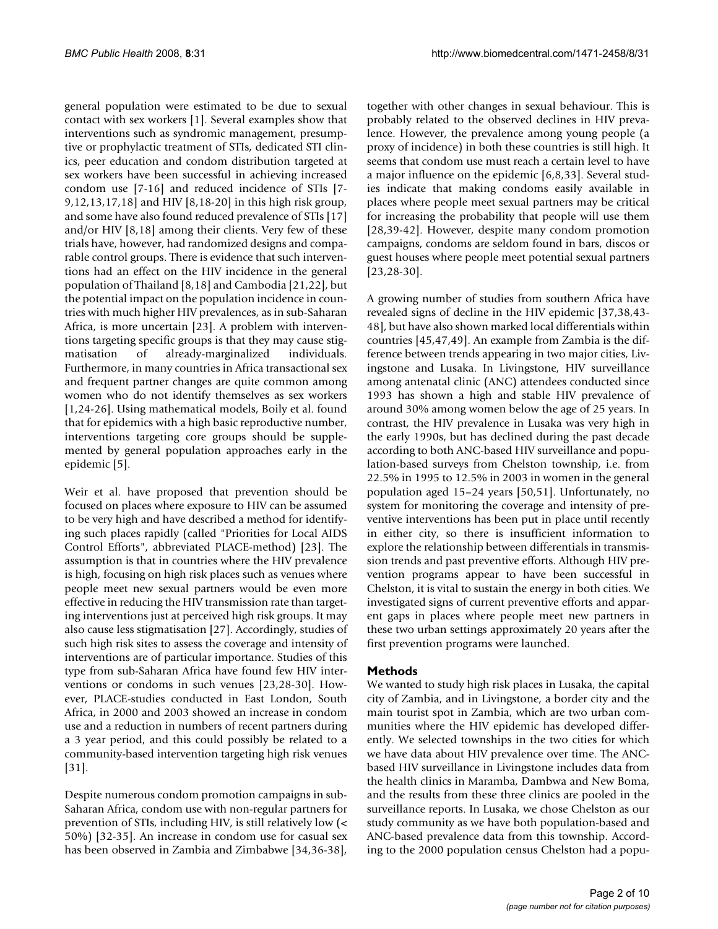general population were estimated to be due to sexual contact with sex workers [1]. Several examples show that interventions such as syndromic management, presumptive or prophylactic treatment of STIs, dedicated STI clinics, peer education and condom distribution targeted at sex workers have been successful in achieving increased condom use [7-16] and reduced incidence of STIs [7- 9,12,13,17,18] and HIV [8,18-20] in this high risk group, and some have also found reduced prevalence of STIs [17] and/or HIV [8,18] among their clients. Very few of these trials have, however, had randomized designs and comparable control groups. There is evidence that such interventions had an effect on the HIV incidence in the general population of Thailand [8,18] and Cambodia [21,22], but the potential impact on the population incidence in countries with much higher HIV prevalences, as in sub-Saharan Africa, is more uncertain [23]. A problem with interventions targeting specific groups is that they may cause stigmatisation of already-marginalized individuals. Furthermore, in many countries in Africa transactional sex and frequent partner changes are quite common among women who do not identify themselves as sex workers [1,24-26]. Using mathematical models, Boily et al. found that for epidemics with a high basic reproductive number, interventions targeting core groups should be supplemented by general population approaches early in the epidemic [5].

Weir et al. have proposed that prevention should be focused on places where exposure to HIV can be assumed to be very high and have described a method for identifying such places rapidly (called "Priorities for Local AIDS Control Efforts", abbreviated PLACE-method) [23]. The assumption is that in countries where the HIV prevalence is high, focusing on high risk places such as venues where people meet new sexual partners would be even more effective in reducing the HIV transmission rate than targeting interventions just at perceived high risk groups. It may also cause less stigmatisation [27]. Accordingly, studies of such high risk sites to assess the coverage and intensity of interventions are of particular importance. Studies of this type from sub-Saharan Africa have found few HIV interventions or condoms in such venues [23,28-30]. However, PLACE-studies conducted in East London, South Africa, in 2000 and 2003 showed an increase in condom use and a reduction in numbers of recent partners during a 3 year period, and this could possibly be related to a community-based intervention targeting high risk venues [31].

Despite numerous condom promotion campaigns in sub-Saharan Africa, condom use with non-regular partners for prevention of STIs, including HIV, is still relatively low (< 50%) [32-35]. An increase in condom use for casual sex has been observed in Zambia and Zimbabwe [34,36-38],

together with other changes in sexual behaviour. This is probably related to the observed declines in HIV prevalence. However, the prevalence among young people (a proxy of incidence) in both these countries is still high. It seems that condom use must reach a certain level to have a major influence on the epidemic [6,8,33]. Several studies indicate that making condoms easily available in places where people meet sexual partners may be critical for increasing the probability that people will use them [28,39-42]. However, despite many condom promotion campaigns, condoms are seldom found in bars, discos or guest houses where people meet potential sexual partners [23,28-30].

A growing number of studies from southern Africa have revealed signs of decline in the HIV epidemic [37,38,43- 48], but have also shown marked local differentials within countries [45,47,49]. An example from Zambia is the difference between trends appearing in two major cities, Livingstone and Lusaka. In Livingstone, HIV surveillance among antenatal clinic (ANC) attendees conducted since 1993 has shown a high and stable HIV prevalence of around 30% among women below the age of 25 years. In contrast, the HIV prevalence in Lusaka was very high in the early 1990s, but has declined during the past decade according to both ANC-based HIV surveillance and population-based surveys from Chelston township, i.e. from 22.5% in 1995 to 12.5% in 2003 in women in the general population aged 15–24 years [50,51]. Unfortunately, no system for monitoring the coverage and intensity of preventive interventions has been put in place until recently in either city, so there is insufficient information to explore the relationship between differentials in transmission trends and past preventive efforts. Although HIV prevention programs appear to have been successful in Chelston, it is vital to sustain the energy in both cities. We investigated signs of current preventive efforts and apparent gaps in places where people meet new partners in these two urban settings approximately 20 years after the first prevention programs were launched.

# **Methods**

We wanted to study high risk places in Lusaka, the capital city of Zambia, and in Livingstone, a border city and the main tourist spot in Zambia, which are two urban communities where the HIV epidemic has developed differently. We selected townships in the two cities for which we have data about HIV prevalence over time. The ANCbased HIV surveillance in Livingstone includes data from the health clinics in Maramba, Dambwa and New Boma, and the results from these three clinics are pooled in the surveillance reports. In Lusaka, we chose Chelston as our study community as we have both population-based and ANC-based prevalence data from this township. According to the 2000 population census Chelston had a popu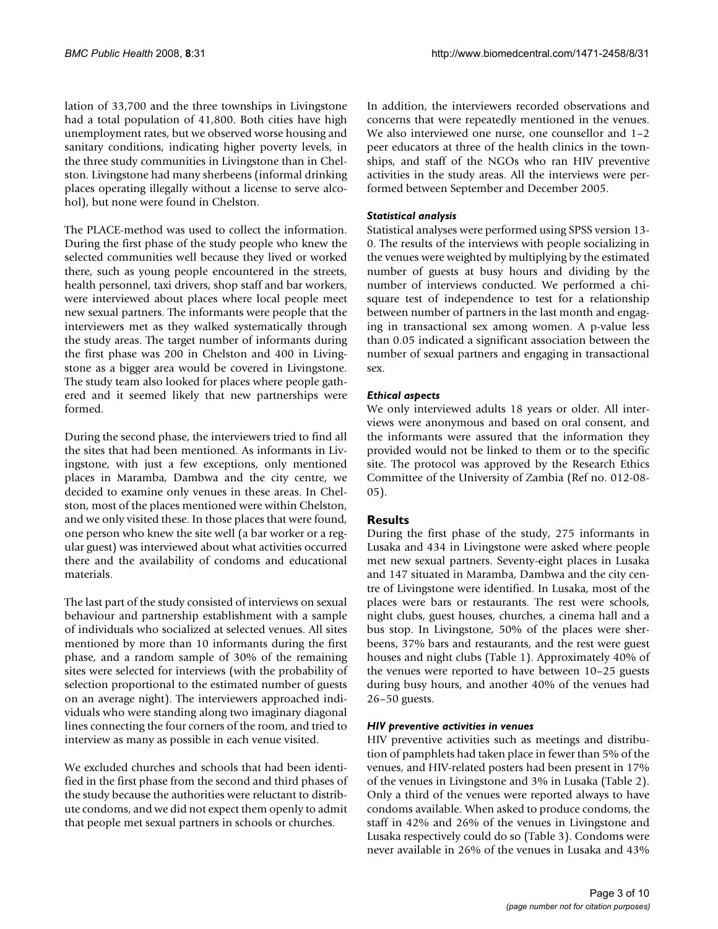lation of 33,700 and the three townships in Livingstone had a total population of 41,800. Both cities have high unemployment rates, but we observed worse housing and sanitary conditions, indicating higher poverty levels, in the three study communities in Livingstone than in Chelston. Livingstone had many sherbeens (informal drinking places operating illegally without a license to serve alcohol), but none were found in Chelston.

The PLACE-method was used to collect the information. During the first phase of the study people who knew the selected communities well because they lived or worked there, such as young people encountered in the streets, health personnel, taxi drivers, shop staff and bar workers, were interviewed about places where local people meet new sexual partners. The informants were people that the interviewers met as they walked systematically through the study areas. The target number of informants during the first phase was 200 in Chelston and 400 in Livingstone as a bigger area would be covered in Livingstone. The study team also looked for places where people gathered and it seemed likely that new partnerships were formed.

During the second phase, the interviewers tried to find all the sites that had been mentioned. As informants in Livingstone, with just a few exceptions, only mentioned places in Maramba, Dambwa and the city centre, we decided to examine only venues in these areas. In Chelston, most of the places mentioned were within Chelston, and we only visited these. In those places that were found, one person who knew the site well (a bar worker or a regular guest) was interviewed about what activities occurred there and the availability of condoms and educational materials.

The last part of the study consisted of interviews on sexual behaviour and partnership establishment with a sample of individuals who socialized at selected venues. All sites mentioned by more than 10 informants during the first phase, and a random sample of 30% of the remaining sites were selected for interviews (with the probability of selection proportional to the estimated number of guests on an average night). The interviewers approached individuals who were standing along two imaginary diagonal lines connecting the four corners of the room, and tried to interview as many as possible in each venue visited.

We excluded churches and schools that had been identified in the first phase from the second and third phases of the study because the authorities were reluctant to distribute condoms, and we did not expect them openly to admit that people met sexual partners in schools or churches.

In addition, the interviewers recorded observations and concerns that were repeatedly mentioned in the venues. We also interviewed one nurse, one counsellor and 1–2 peer educators at three of the health clinics in the townships, and staff of the NGOs who ran HIV preventive activities in the study areas. All the interviews were performed between September and December 2005.

# *Statistical analysis*

Statistical analyses were performed using SPSS version 13- 0. The results of the interviews with people socializing in the venues were weighted by multiplying by the estimated number of guests at busy hours and dividing by the number of interviews conducted. We performed a chisquare test of independence to test for a relationship between number of partners in the last month and engaging in transactional sex among women. A p-value less than 0.05 indicated a significant association between the number of sexual partners and engaging in transactional sex.

# *Ethical aspects*

We only interviewed adults 18 years or older. All interviews were anonymous and based on oral consent, and the informants were assured that the information they provided would not be linked to them or to the specific site. The protocol was approved by the Research Ethics Committee of the University of Zambia (Ref no. 012-08- 05).

# **Results**

During the first phase of the study, 275 informants in Lusaka and 434 in Livingstone were asked where people met new sexual partners. Seventy-eight places in Lusaka and 147 situated in Maramba, Dambwa and the city centre of Livingstone were identified. In Lusaka, most of the places were bars or restaurants. The rest were schools, night clubs, guest houses, churches, a cinema hall and a bus stop. In Livingstone, 50% of the places were sherbeens, 37% bars and restaurants, and the rest were guest houses and night clubs (Table 1). Approximately 40% of the venues were reported to have between 10–25 guests during busy hours, and another 40% of the venues had 26–50 guests.

# *HIV preventive activities in venues*

HIV preventive activities such as meetings and distribution of pamphlets had taken place in fewer than 5% of the venues, and HIV-related posters had been present in 17% of the venues in Livingstone and 3% in Lusaka (Table 2). Only a third of the venues were reported always to have condoms available. When asked to produce condoms, the staff in 42% and 26% of the venues in Livingstone and Lusaka respectively could do so (Table 3). Condoms were never available in 26% of the venues in Lusaka and 43%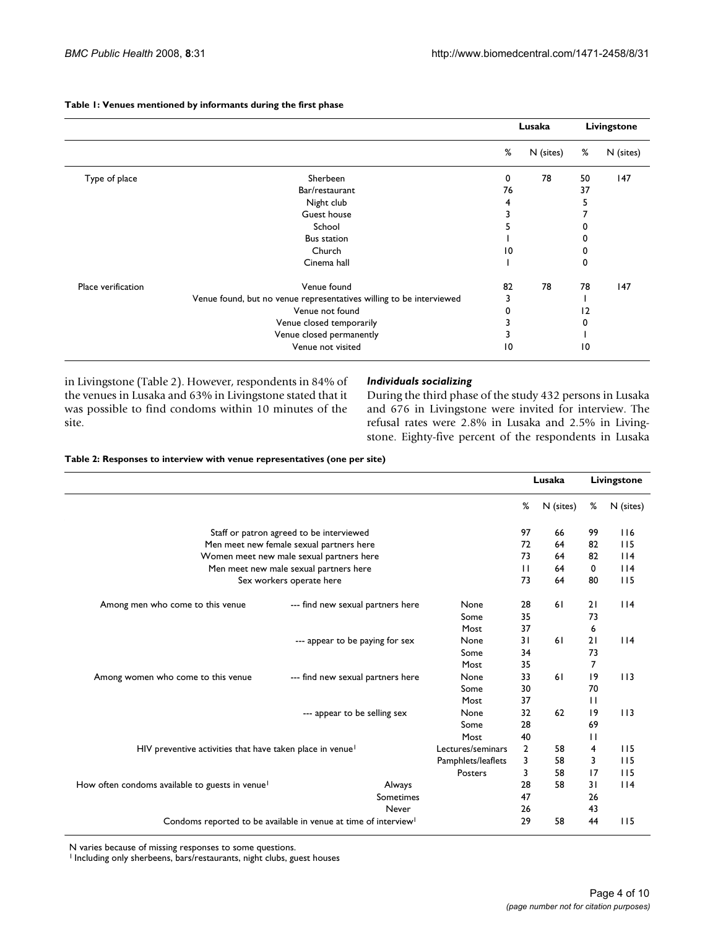|                    |                                                                     |                 | Lusaka    |    | Livingstone |
|--------------------|---------------------------------------------------------------------|-----------------|-----------|----|-------------|
|                    |                                                                     | %               | N (sites) | %  | N (sites)   |
| Type of place      | Sherbeen                                                            | 0               | 78        | 50 | 147         |
|                    | Bar/restaurant                                                      | 76              |           | 37 |             |
|                    | Night club                                                          | 4               |           | 5  |             |
|                    | Guest house                                                         | 3               |           |    |             |
|                    | School                                                              | ב               |           | 0  |             |
|                    | Bus station                                                         |                 |           | 0  |             |
|                    | Church                                                              | $\overline{10}$ |           | 0  |             |
|                    | Cinema hall                                                         |                 |           | 0  |             |
| Place verification | Venue found                                                         | 82              | 78        | 78 | 147         |
|                    | Venue found, but no venue representatives willing to be interviewed |                 |           |    |             |
|                    | Venue not found                                                     | 0               |           | 2  |             |
|                    | Venue closed temporarily                                            |                 |           | 0  |             |
|                    | Venue closed permanently                                            |                 |           |    |             |
|                    | Venue not visited                                                   | $\overline{0}$  |           | 10 |             |

#### **Table 1: Venues mentioned by informants during the first phase**

in Livingstone (Table 2). However, respondents in 84% of the venues in Lusaka and 63% in Livingstone stated that it was possible to find condoms within 10 minutes of the site.

## *Individuals socializing*

During the third phase of the study 432 persons in Lusaka and 676 in Livingstone were invited for interview. The refusal rates were 2.8% in Lusaka and 2.5% in Livingstone. Eighty-five percent of the respondents in Lusaka

## **Table 2: Responses to interview with venue representatives (one per site)**

|                                                                             |                                          |                    | Lusaka         |           | Livingstone  |           |
|-----------------------------------------------------------------------------|------------------------------------------|--------------------|----------------|-----------|--------------|-----------|
|                                                                             |                                          |                    | ℅              | N (sites) | %            | N (sites) |
| Staff or patron agreed to be interviewed                                    |                                          |                    | 97             | 66        | 99           | 116       |
|                                                                             | Men meet new female sexual partners here |                    | 72             | 64        | 82           | 115       |
| Women meet new male sexual partners here                                    |                                          |                    | 73             | 64        | 82           | 114       |
|                                                                             | Men meet new male sexual partners here   |                    | $\mathbf{H}$   | 64        | 0            | $ $  4    |
| Sex workers operate here                                                    |                                          |                    | 73             | 64        | 80           | 115       |
| Among men who come to this venue                                            | --- find new sexual partners here        | None               | 28             | 61        | 21           | 114       |
|                                                                             |                                          | Some               | 35             |           | 73           |           |
|                                                                             |                                          | Most               | 37             |           | 6            |           |
|                                                                             | --- appear to be paying for sex          | None               | 31             | 61        | 21           | $ $  4    |
|                                                                             |                                          | Some               | 34             |           | 73           |           |
|                                                                             |                                          | Most               | 35             |           | 7            |           |
| Among women who come to this venue                                          | --- find new sexual partners here        | None               | 33             | 61        | 9            | 113       |
|                                                                             |                                          | Some               | 30             |           | 70           |           |
|                                                                             |                                          | Most               | 37             |           | $\mathbf{H}$ |           |
|                                                                             | None<br>--- appear to be selling sex     |                    | 32             | 62        | 9            | 113       |
|                                                                             |                                          | Some               | 28             |           | 69           |           |
|                                                                             |                                          | Most               | 40             |           | $\mathbf{H}$ |           |
| HIV preventive activities that have taken place in venue!                   |                                          | Lectures/seminars  | $\overline{2}$ | 58        | 4            | 115       |
|                                                                             |                                          | Pamphlets/leaflets | 3              | 58        | 3            | 115       |
|                                                                             |                                          | Posters            | 3              | 58        | 17           | 115       |
| How often condoms available to guests in venue                              | Always                                   |                    | 28             | 58        | 31           | 114       |
|                                                                             | Sometimes                                |                    | 47             |           | 26           |           |
|                                                                             | Never                                    |                    | 26             |           | 43           |           |
| Condoms reported to be available in venue at time of interview <sup>1</sup> |                                          |                    | 29             | 58        | 44           | 115       |

N varies because of missing responses to some questions.

1 Including only sherbeens, bars/restaurants, night clubs, guest houses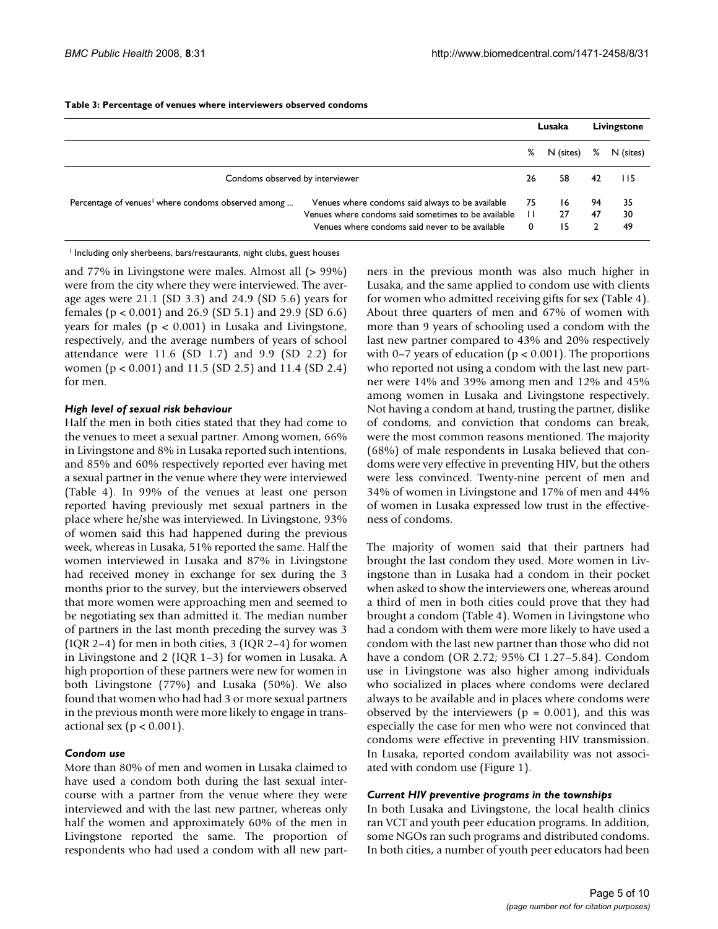| Table 3: Percentage of venues where interviewers observed condoms |  |  |
|-------------------------------------------------------------------|--|--|
|-------------------------------------------------------------------|--|--|

|                                                                |                                                                                                                                                            | Lusaka             |                | Livingstone |                |
|----------------------------------------------------------------|------------------------------------------------------------------------------------------------------------------------------------------------------------|--------------------|----------------|-------------|----------------|
|                                                                |                                                                                                                                                            | %                  | N (sites)      | %           | N (sites)      |
| Condoms observed by interviewer                                |                                                                                                                                                            | 26                 | 58             | 42          | 115            |
| Percentage of venues <sup>1</sup> where condoms observed among | Venues where condoms said always to be available<br>Venues where condoms said sometimes to be available<br>Venues where condoms said never to be available | 75<br>$\mathbf{H}$ | 16<br>27<br>15 | 94<br>47    | 35<br>30<br>49 |

<sup>1</sup> Including only sherbeens, bars/restaurants, night clubs, guest houses

and 77% in Livingstone were males. Almost all (> 99%) were from the city where they were interviewed. The average ages were 21.1 (SD 3.3) and 24.9 (SD 5.6) years for females (p < 0.001) and 26.9 (SD 5.1) and 29.9 (SD 6.6) years for males ( $p < 0.001$ ) in Lusaka and Livingstone, respectively, and the average numbers of years of school attendance were 11.6 (SD 1.7) and 9.9 (SD 2.2) for women (p < 0.001) and 11.5 (SD 2.5) and 11.4 (SD 2.4) for men.

#### *High level of sexual risk behaviour*

Half the men in both cities stated that they had come to the venues to meet a sexual partner. Among women, 66% in Livingstone and 8% in Lusaka reported such intentions, and 85% and 60% respectively reported ever having met a sexual partner in the venue where they were interviewed (Table 4). In 99% of the venues at least one person reported having previously met sexual partners in the place where he/she was interviewed. In Livingstone, 93% of women said this had happened during the previous week, whereas in Lusaka, 51% reported the same. Half the women interviewed in Lusaka and 87% in Livingstone had received money in exchange for sex during the 3 months prior to the survey, but the interviewers observed that more women were approaching men and seemed to be negotiating sex than admitted it. The median number of partners in the last month preceding the survey was 3 (IQR 2–4) for men in both cities, 3 (IQR 2–4) for women in Livingstone and 2 (IQR 1–3) for women in Lusaka. A high proportion of these partners were new for women in both Livingstone (77%) and Lusaka (50%). We also found that women who had had 3 or more sexual partners in the previous month were more likely to engage in transactional sex ( $p < 0.001$ ).

#### *Condom use*

More than 80% of men and women in Lusaka claimed to have used a condom both during the last sexual intercourse with a partner from the venue where they were interviewed and with the last new partner, whereas only half the women and approximately 60% of the men in Livingstone reported the same. The proportion of respondents who had used a condom with all new partners in the previous month was also much higher in Lusaka, and the same applied to condom use with clients for women who admitted receiving gifts for sex (Table 4). About three quarters of men and 67% of women with more than 9 years of schooling used a condom with the last new partner compared to 43% and 20% respectively with 0–7 years of education ( $p < 0.001$ ). The proportions who reported not using a condom with the last new partner were 14% and 39% among men and 12% and 45% among women in Lusaka and Livingstone respectively. Not having a condom at hand, trusting the partner, dislike of condoms, and conviction that condoms can break, were the most common reasons mentioned. The majority (68%) of male respondents in Lusaka believed that condoms were very effective in preventing HIV, but the others were less convinced. Twenty-nine percent of men and 34% of women in Livingstone and 17% of men and 44% of women in Lusaka expressed low trust in the effectiveness of condoms.

The majority of women said that their partners had brought the last condom they used. More women in Livingstone than in Lusaka had a condom in their pocket when asked to show the interviewers one, whereas around a third of men in both cities could prove that they had brought a condom (Table 4). Women in Livingstone who had a condom with them were more likely to have used a condom with the last new partner than those who did not have a condom (OR 2.72; 95% CI 1.27–5.84). Condom use in Livingstone was also higher among individuals who socialized in places where condoms were declared always to be available and in places where condoms were observed by the interviewers ( $p = 0.001$ ), and this was especially the case for men who were not convinced that condoms were effective in preventing HIV transmission. In Lusaka, reported condom availability was not associated with condom use (Figure 1).

#### *Current HIV preventive programs in the townships*

In both Lusaka and Livingstone, the local health clinics ran VCT and youth peer education programs. In addition, some NGOs ran such programs and distributed condoms. In both cities, a number of youth peer educators had been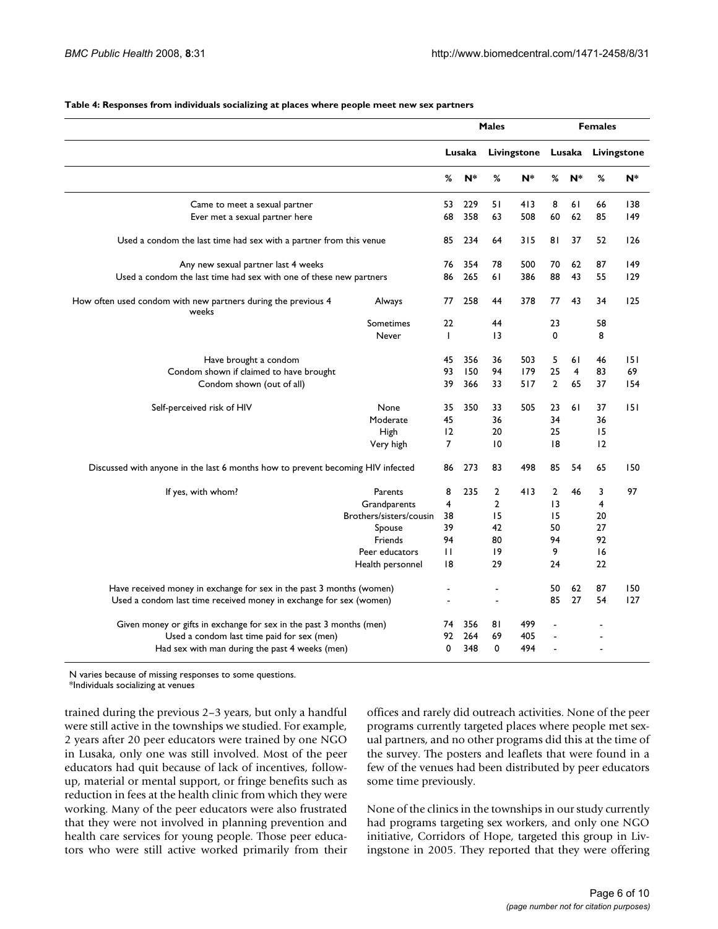|                                                                                 |                         | <b>Males</b> |       |                 |     | <b>Females</b>  |       |    |             |
|---------------------------------------------------------------------------------|-------------------------|--------------|-------|-----------------|-----|-----------------|-------|----|-------------|
|                                                                                 |                         | Lusaka       |       | Livingstone     |     | Lusaka          |       |    | Livingstone |
|                                                                                 |                         | %            | $N^*$ | %               | N*  | %               | $N^*$ | %  | N*          |
| Came to meet a sexual partner                                                   |                         | 53           | 229   | 51              | 413 | 8               | 61    | 66 | 138         |
| Ever met a sexual partner here                                                  |                         | 68           | 358   | 63              | 508 | 60              | 62    | 85 | 149         |
| Used a condom the last time had sex with a partner from this venue              |                         | 85           | 234   | 64              | 315 | 81              | 37    | 52 | 126         |
| Any new sexual partner last 4 weeks                                             |                         | 76           | 354   | 78              | 500 | 70              | 62    | 87 | 149         |
| Used a condom the last time had sex with one of these new partners              |                         | 86           | 265   | 61              | 386 | 88              | 43    | 55 | 129         |
| How often used condom with new partners during the previous 4<br>weeks          | Always                  | 77           | 258   | 44              | 378 | 77              | 43    | 34 | 125         |
|                                                                                 | <b>Sometimes</b>        | 22           |       | 44              |     | 23              |       | 58 |             |
|                                                                                 | Never                   | $\mathbf{I}$ |       | 13              |     | $\Omega$        |       | 8  |             |
| Have brought a condom                                                           |                         | 45           | 356   | 36              | 503 | 5               | 61    | 46 | 151         |
| Condom shown if claimed to have brought                                         |                         | 93           | 150   | 94              | 179 | 25              | 4     | 83 | 69          |
| Condom shown (out of all)                                                       |                         | 39           | 366   | 33              | 517 | $\overline{2}$  | 65    | 37 | 154         |
| Self-perceived risk of HIV                                                      | None                    | 35           | 350   | 33              | 505 | 23              | 61    | 37 | 151         |
|                                                                                 | Moderate                | 45           |       | 36              |     | 34              |       | 36 |             |
|                                                                                 | High                    | 12           |       | 20              |     | 25              |       | 15 |             |
|                                                                                 | Very high               | 7            |       | $\overline{10}$ |     | 18              |       | 12 |             |
| Discussed with anyone in the last 6 months how to prevent becoming HIV infected |                         | 86           | 273   | 83              | 498 | 85              | 54    | 65 | 150         |
| If yes, with whom?                                                              | Parents                 | 8            | 235   | $\overline{2}$  | 413 | $\overline{2}$  | 46    | 3  | 97          |
|                                                                                 | Grandparents            | 4            |       | $\overline{2}$  |     | $\overline{13}$ |       | 4  |             |
|                                                                                 | Brothers/sisters/cousin | 38           |       | 15              |     | 15              |       | 20 |             |
|                                                                                 | Spouse                  | 39           |       | 42              |     | 50              |       | 27 |             |
|                                                                                 | Friends                 | 94           |       | 80              |     | 94              |       | 92 |             |
|                                                                                 | Peer educators          | $\mathbf{H}$ |       | 9               |     | 9               |       | 16 |             |
|                                                                                 | Health personnel        | 18           |       | 29              |     | 24              |       | 22 |             |
| Have received money in exchange for sex in the past 3 months (women)            |                         |              |       |                 |     | 50              | 62    | 87 | 150         |
| Used a condom last time received money in exchange for sex (women)              |                         |              |       |                 |     | 85              | 27    | 54 | 127         |
| Given money or gifts in exchange for sex in the past 3 months (men)             |                         | 74           | 356   | 81              | 499 |                 |       |    |             |
| Used a condom last time paid for sex (men)                                      |                         | 92           | 264   | 69              | 405 |                 |       |    |             |
| Had sex with man during the past 4 weeks (men)                                  |                         | 0            | 348   | $\mathbf 0$     | 494 |                 |       |    |             |

#### **Table 4: Responses from individuals socializing at places where people meet new sex partners**

N varies because of missing responses to some questions.

\*Individuals socializing at venues

trained during the previous 2–3 years, but only a handful were still active in the townships we studied. For example, 2 years after 20 peer educators were trained by one NGO in Lusaka, only one was still involved. Most of the peer educators had quit because of lack of incentives, followup, material or mental support, or fringe benefits such as reduction in fees at the health clinic from which they were working. Many of the peer educators were also frustrated that they were not involved in planning prevention and health care services for young people. Those peer educators who were still active worked primarily from their offices and rarely did outreach activities. None of the peer programs currently targeted places where people met sexual partners, and no other programs did this at the time of the survey. The posters and leaflets that were found in a few of the venues had been distributed by peer educators some time previously.

None of the clinics in the townships in our study currently had programs targeting sex workers, and only one NGO initiative, Corridors of Hope, targeted this group in Livingstone in 2005. They reported that they were offering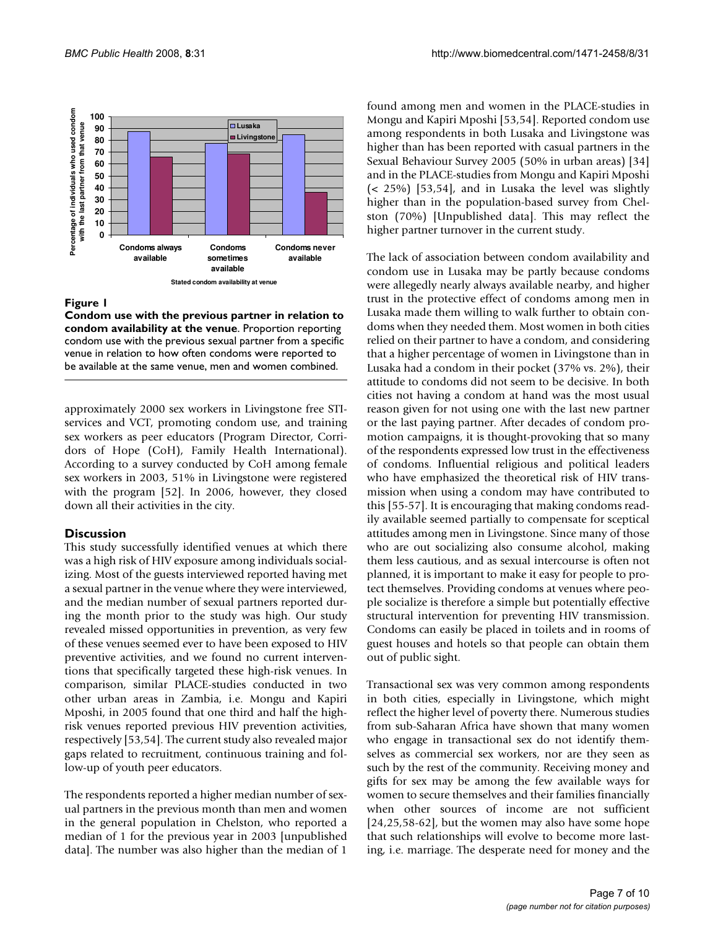

## Figure 1

**Condom use with the previous partner in relation to condom availability at the venue**. Proportion reporting condom use with the previous sexual partner from a specific venue in relation to how often condoms were reported to be available at the same venue, men and women combined.

approximately 2000 sex workers in Livingstone free STIservices and VCT, promoting condom use, and training sex workers as peer educators (Program Director, Corridors of Hope (CoH), Family Health International). According to a survey conducted by CoH among female sex workers in 2003, 51% in Livingstone were registered with the program [52]. In 2006, however, they closed down all their activities in the city.

# **Discussion**

This study successfully identified venues at which there was a high risk of HIV exposure among individuals socializing. Most of the guests interviewed reported having met a sexual partner in the venue where they were interviewed, and the median number of sexual partners reported during the month prior to the study was high. Our study revealed missed opportunities in prevention, as very few of these venues seemed ever to have been exposed to HIV preventive activities, and we found no current interventions that specifically targeted these high-risk venues. In comparison, similar PLACE-studies conducted in two other urban areas in Zambia, i.e. Mongu and Kapiri Mposhi, in 2005 found that one third and half the highrisk venues reported previous HIV prevention activities, respectively [53,54]. The current study also revealed major gaps related to recruitment, continuous training and follow-up of youth peer educators.

The respondents reported a higher median number of sexual partners in the previous month than men and women in the general population in Chelston, who reported a median of 1 for the previous year in 2003 [unpublished data]. The number was also higher than the median of 1

found among men and women in the PLACE-studies in Mongu and Kapiri Mposhi [53,54]. Reported condom use among respondents in both Lusaka and Livingstone was higher than has been reported with casual partners in the Sexual Behaviour Survey 2005 (50% in urban areas) [34] and in the PLACE-studies from Mongu and Kapiri Mposhi (< 25%) [53,54], and in Lusaka the level was slightly higher than in the population-based survey from Chelston (70%) [Unpublished data]. This may reflect the higher partner turnover in the current study.

The lack of association between condom availability and condom use in Lusaka may be partly because condoms were allegedly nearly always available nearby, and higher trust in the protective effect of condoms among men in Lusaka made them willing to walk further to obtain condoms when they needed them. Most women in both cities relied on their partner to have a condom, and considering that a higher percentage of women in Livingstone than in Lusaka had a condom in their pocket (37% vs. 2%), their attitude to condoms did not seem to be decisive. In both cities not having a condom at hand was the most usual reason given for not using one with the last new partner or the last paying partner. After decades of condom promotion campaigns, it is thought-provoking that so many of the respondents expressed low trust in the effectiveness of condoms. Influential religious and political leaders who have emphasized the theoretical risk of HIV transmission when using a condom may have contributed to this [55-57]. It is encouraging that making condoms readily available seemed partially to compensate for sceptical attitudes among men in Livingstone. Since many of those who are out socializing also consume alcohol, making them less cautious, and as sexual intercourse is often not planned, it is important to make it easy for people to protect themselves. Providing condoms at venues where people socialize is therefore a simple but potentially effective structural intervention for preventing HIV transmission. Condoms can easily be placed in toilets and in rooms of guest houses and hotels so that people can obtain them out of public sight.

Transactional sex was very common among respondents in both cities, especially in Livingstone, which might reflect the higher level of poverty there. Numerous studies from sub-Saharan Africa have shown that many women who engage in transactional sex do not identify themselves as commercial sex workers, nor are they seen as such by the rest of the community. Receiving money and gifts for sex may be among the few available ways for women to secure themselves and their families financially when other sources of income are not sufficient [24,25,58-62], but the women may also have some hope that such relationships will evolve to become more lasting, i.e. marriage. The desperate need for money and the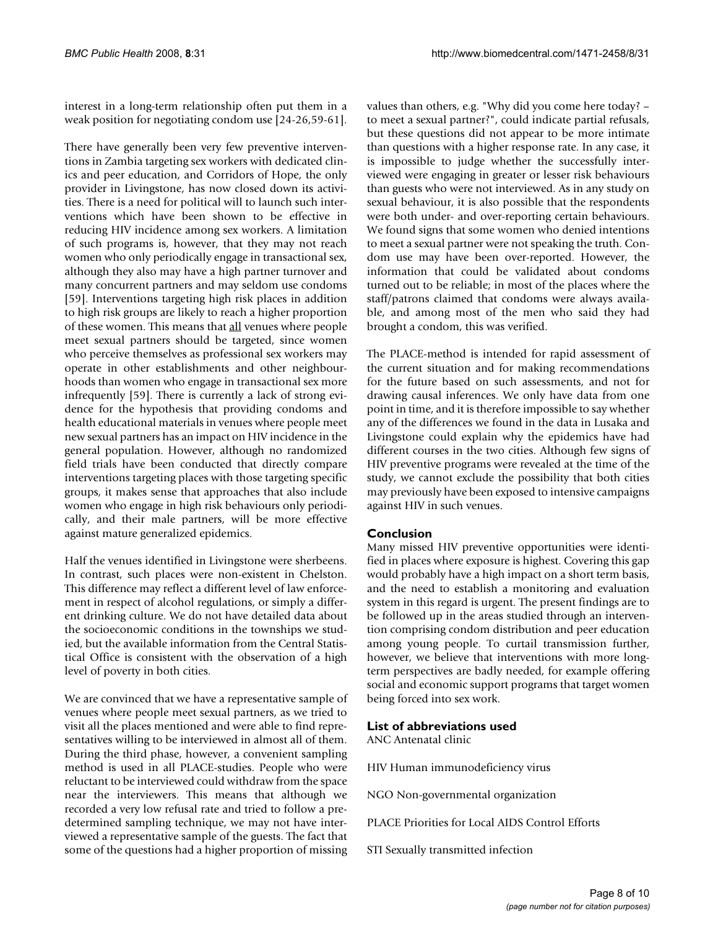interest in a long-term relationship often put them in a weak position for negotiating condom use [24-26,59-61].

There have generally been very few preventive interventions in Zambia targeting sex workers with dedicated clinics and peer education, and Corridors of Hope, the only provider in Livingstone, has now closed down its activities. There is a need for political will to launch such interventions which have been shown to be effective in reducing HIV incidence among sex workers. A limitation of such programs is, however, that they may not reach women who only periodically engage in transactional sex, although they also may have a high partner turnover and many concurrent partners and may seldom use condoms [59]. Interventions targeting high risk places in addition to high risk groups are likely to reach a higher proportion of these women. This means that all venues where people meet sexual partners should be targeted, since women who perceive themselves as professional sex workers may operate in other establishments and other neighbourhoods than women who engage in transactional sex more infrequently [59]. There is currently a lack of strong evidence for the hypothesis that providing condoms and health educational materials in venues where people meet new sexual partners has an impact on HIV incidence in the general population. However, although no randomized field trials have been conducted that directly compare interventions targeting places with those targeting specific groups, it makes sense that approaches that also include women who engage in high risk behaviours only periodically, and their male partners, will be more effective against mature generalized epidemics.

Half the venues identified in Livingstone were sherbeens. In contrast, such places were non-existent in Chelston. This difference may reflect a different level of law enforcement in respect of alcohol regulations, or simply a different drinking culture. We do not have detailed data about the socioeconomic conditions in the townships we studied, but the available information from the Central Statistical Office is consistent with the observation of a high level of poverty in both cities.

We are convinced that we have a representative sample of venues where people meet sexual partners, as we tried to visit all the places mentioned and were able to find representatives willing to be interviewed in almost all of them. During the third phase, however, a convenient sampling method is used in all PLACE-studies. People who were reluctant to be interviewed could withdraw from the space near the interviewers. This means that although we recorded a very low refusal rate and tried to follow a predetermined sampling technique, we may not have interviewed a representative sample of the guests. The fact that some of the questions had a higher proportion of missing values than others, e.g. "Why did you come here today? – to meet a sexual partner?", could indicate partial refusals, but these questions did not appear to be more intimate than questions with a higher response rate. In any case, it is impossible to judge whether the successfully interviewed were engaging in greater or lesser risk behaviours than guests who were not interviewed. As in any study on sexual behaviour, it is also possible that the respondents were both under- and over-reporting certain behaviours. We found signs that some women who denied intentions to meet a sexual partner were not speaking the truth. Condom use may have been over-reported. However, the information that could be validated about condoms turned out to be reliable; in most of the places where the staff/patrons claimed that condoms were always available, and among most of the men who said they had brought a condom, this was verified.

The PLACE-method is intended for rapid assessment of the current situation and for making recommendations for the future based on such assessments, and not for drawing causal inferences. We only have data from one point in time, and it is therefore impossible to say whether any of the differences we found in the data in Lusaka and Livingstone could explain why the epidemics have had different courses in the two cities. Although few signs of HIV preventive programs were revealed at the time of the study, we cannot exclude the possibility that both cities may previously have been exposed to intensive campaigns against HIV in such venues.

# **Conclusion**

Many missed HIV preventive opportunities were identified in places where exposure is highest. Covering this gap would probably have a high impact on a short term basis, and the need to establish a monitoring and evaluation system in this regard is urgent. The present findings are to be followed up in the areas studied through an intervention comprising condom distribution and peer education among young people. To curtail transmission further, however, we believe that interventions with more longterm perspectives are badly needed, for example offering social and economic support programs that target women being forced into sex work.

# **List of abbreviations used**

ANC Antenatal clinic

HIV Human immunodeficiency virus

NGO Non-governmental organization

PLACE Priorities for Local AIDS Control Efforts

STI Sexually transmitted infection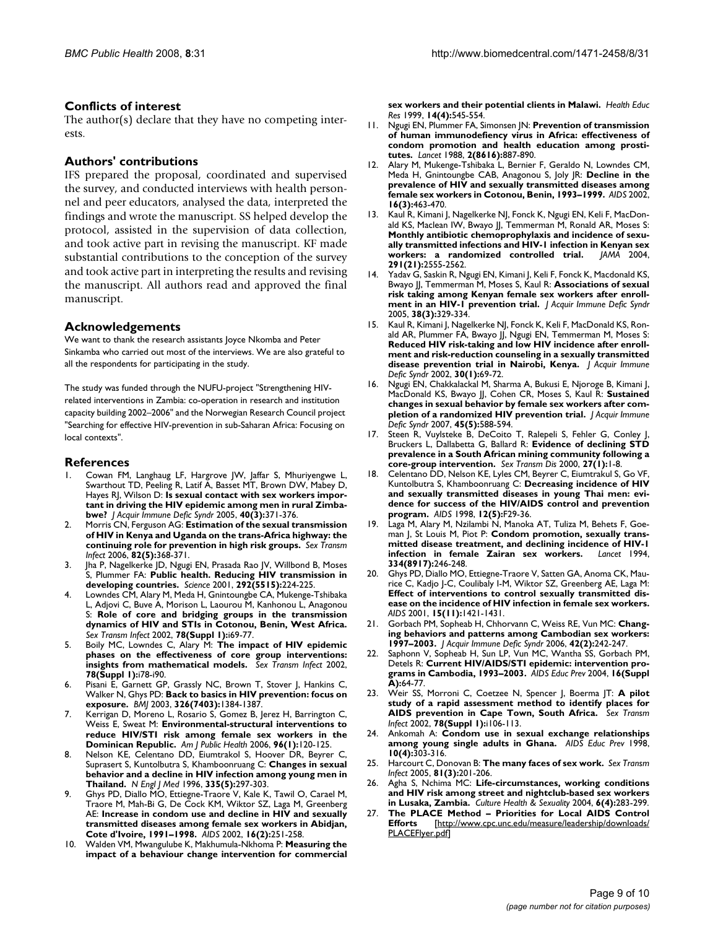# **Conflicts of interest**

The author(s) declare that they have no competing interests.

# **Authors' contributions**

IFS prepared the proposal, coordinated and supervised the survey, and conducted interviews with health personnel and peer educators, analysed the data, interpreted the findings and wrote the manuscript. SS helped develop the protocol, assisted in the supervision of data collection, and took active part in revising the manuscript. KF made substantial contributions to the conception of the survey and took active part in interpreting the results and revising the manuscript. All authors read and approved the final manuscript.

# **Acknowledgements**

We want to thank the research assistants Joyce Nkomba and Peter Sinkamba who carried out most of the interviews. We are also grateful to all the respondents for participating in the study.

The study was funded through the NUFU-project "Strengthening HIVrelated interventions in Zambia: co-operation in research and institution capacity building 2002–2006" and the Norwegian Research Council project "Searching for effective HIV-prevention in sub-Saharan Africa: Focusing on local contexts".

## **References**

- 1. Cowan FM, Langhaug LF, Hargrove JW, Jaffar S, Mhuriyengwe L, Swarthout TD, Peeling R, Latif A, Basset MT, Brown DW, Mabey D, Hayes RJ, Wilson D: **[Is sexual contact with sex workers impor](http://www.ncbi.nlm.nih.gov/entrez/query.fcgi?cmd=Retrieve&db=PubMed&dopt=Abstract&list_uids=16249714)[tant in driving the HIV epidemic among men in rural Zimba](http://www.ncbi.nlm.nih.gov/entrez/query.fcgi?cmd=Retrieve&db=PubMed&dopt=Abstract&list_uids=16249714)[bwe?](http://www.ncbi.nlm.nih.gov/entrez/query.fcgi?cmd=Retrieve&db=PubMed&dopt=Abstract&list_uids=16249714)** *J Acquir Immune Defic Syndr* 2005, **40(3):**371-376.
- 2. Morris CN, Ferguson AG: **[Estimation of the sexual transmission](http://www.ncbi.nlm.nih.gov/entrez/query.fcgi?cmd=Retrieve&db=PubMed&dopt=Abstract&list_uids=16854995) [of HIV in Kenya and Uganda on the trans-Africa highway: the](http://www.ncbi.nlm.nih.gov/entrez/query.fcgi?cmd=Retrieve&db=PubMed&dopt=Abstract&list_uids=16854995) [continuing role for prevention in high risk groups.](http://www.ncbi.nlm.nih.gov/entrez/query.fcgi?cmd=Retrieve&db=PubMed&dopt=Abstract&list_uids=16854995)** *Sex Transm Infect* 2006, **82(5):**368-371.
- 3. Jha P, Nagelkerke JD, Ngugi EN, Prasada Rao JV, Willbond B, Moses S, Plummer FA: **[Public health. Reducing HIV transmission in](http://www.ncbi.nlm.nih.gov/entrez/query.fcgi?cmd=Retrieve&db=PubMed&dopt=Abstract&list_uids=11305312) [developing countries.](http://www.ncbi.nlm.nih.gov/entrez/query.fcgi?cmd=Retrieve&db=PubMed&dopt=Abstract&list_uids=11305312)** *Science* 2001, **292(5515):**224-225.
- 4. Lowndes CM, Alary M, Meda H, Gnintoungbe CA, Mukenge-Tshibaka L, Adjovi C, Buve A, Morison L, Laourou M, Kanhonou L, Anagonou S: **[Role of core and bridging groups in the transmission](http://www.ncbi.nlm.nih.gov/entrez/query.fcgi?cmd=Retrieve&db=PubMed&dopt=Abstract&list_uids=12083450) [dynamics of HIV and STIs in Cotonou, Benin, West Africa.](http://www.ncbi.nlm.nih.gov/entrez/query.fcgi?cmd=Retrieve&db=PubMed&dopt=Abstract&list_uids=12083450)** *Sex Transm Infect* 2002, **78(Suppl 1):**i69-77.
- 5. Boily MC, Lowndes C, Alary M: **[The impact of HIV epidemic](http://www.ncbi.nlm.nih.gov/entrez/query.fcgi?cmd=Retrieve&db=PubMed&dopt=Abstract&list_uids=12083451) [phases on the effectiveness of core group interventions:](http://www.ncbi.nlm.nih.gov/entrez/query.fcgi?cmd=Retrieve&db=PubMed&dopt=Abstract&list_uids=12083451) [insights from mathematical models.](http://www.ncbi.nlm.nih.gov/entrez/query.fcgi?cmd=Retrieve&db=PubMed&dopt=Abstract&list_uids=12083451)** *Sex Transm Infect* 2002, **78(Suppl 1):**i78-i90.
- 6. Pisani E, Garnett GP, Grassly NC, Brown T, Stover J, Hankins C, Walker N, Ghys PD: **[Back to basics in HIV prevention: focus on](http://www.ncbi.nlm.nih.gov/entrez/query.fcgi?cmd=Retrieve&db=PubMed&dopt=Abstract&list_uids=12816830) [exposure.](http://www.ncbi.nlm.nih.gov/entrez/query.fcgi?cmd=Retrieve&db=PubMed&dopt=Abstract&list_uids=12816830)** *BMJ* 2003, **326(7403):**1384-1387.
- 7. Kerrigan D, Moreno L, Rosario S, Gomez B, Jerez H, Barrington C, Weiss E, Sweat M: **[Environmental-structural interventions to](http://www.ncbi.nlm.nih.gov/entrez/query.fcgi?cmd=Retrieve&db=PubMed&dopt=Abstract&list_uids=16317215) [reduce HIV/STI risk among female sex workers in the](http://www.ncbi.nlm.nih.gov/entrez/query.fcgi?cmd=Retrieve&db=PubMed&dopt=Abstract&list_uids=16317215) [Dominican Republic.](http://www.ncbi.nlm.nih.gov/entrez/query.fcgi?cmd=Retrieve&db=PubMed&dopt=Abstract&list_uids=16317215)** *Am J Public Health* 2006, **96(1):**120-125.
- 8. Nelson KE, Celentano DD, Eiumtrakol S, Hoover DR, Beyrer C, Suprasert S, Kuntolbutra S, Khamboonruang C: **[Changes in sexual](http://www.ncbi.nlm.nih.gov/entrez/query.fcgi?cmd=Retrieve&db=PubMed&dopt=Abstract&list_uids=8663861) [behavior and a decline in HIV infection among young men in](http://www.ncbi.nlm.nih.gov/entrez/query.fcgi?cmd=Retrieve&db=PubMed&dopt=Abstract&list_uids=8663861) [Thailand.](http://www.ncbi.nlm.nih.gov/entrez/query.fcgi?cmd=Retrieve&db=PubMed&dopt=Abstract&list_uids=8663861)** *N Engl J Med* 1996, **335(5):**297-303.
- 9. Ghys PD, Diallo MO, Ettiegne-Traore V, Kale K, Tawil O, Carael M, Traore M, Mah-Bi G, De Cock KM, Wiktor SZ, Laga M, Greenberg AE: **[Increase in condom use and decline in HIV and sexually](http://www.ncbi.nlm.nih.gov/entrez/query.fcgi?cmd=Retrieve&db=PubMed&dopt=Abstract&list_uids=11807310) [transmitted diseases among female sex workers in Abidjan,](http://www.ncbi.nlm.nih.gov/entrez/query.fcgi?cmd=Retrieve&db=PubMed&dopt=Abstract&list_uids=11807310) [Cote d'Ivoire, 1991–1998.](http://www.ncbi.nlm.nih.gov/entrez/query.fcgi?cmd=Retrieve&db=PubMed&dopt=Abstract&list_uids=11807310)** *AIDS* 2002, **16(2):**251-258.
- 10. Walden VM, Mwangulube K, Makhumula-Nkhoma P: **[Measuring the](http://www.ncbi.nlm.nih.gov/entrez/query.fcgi?cmd=Retrieve&db=PubMed&dopt=Abstract&list_uids=10557524) [impact of a behaviour change intervention for commercial](http://www.ncbi.nlm.nih.gov/entrez/query.fcgi?cmd=Retrieve&db=PubMed&dopt=Abstract&list_uids=10557524)**

**[sex workers and their potential clients in Malawi.](http://www.ncbi.nlm.nih.gov/entrez/query.fcgi?cmd=Retrieve&db=PubMed&dopt=Abstract&list_uids=10557524)** *Health Educ Res* 1999, **14(4):**545-554.

- 11. Ngugi EN, Plummer FA, Simonsen JN: **[Prevention of transmission](http://www.ncbi.nlm.nih.gov/entrez/query.fcgi?cmd=Retrieve&db=PubMed&dopt=Abstract&list_uids=2902326) of human immunodefiency virus in Africa: effectiveness of [condom promotion and health education among prosti](http://www.ncbi.nlm.nih.gov/entrez/query.fcgi?cmd=Retrieve&db=PubMed&dopt=Abstract&list_uids=2902326)[tutes.](http://www.ncbi.nlm.nih.gov/entrez/query.fcgi?cmd=Retrieve&db=PubMed&dopt=Abstract&list_uids=2902326)** *Lancet* 1988, **2(8616):**887-890.
- 12. Alary M, Mukenge-Tshibaka L, Bernier F, Geraldo N, Lowndes CM, Meda H, Gnintoungbe CAB, Anagonou S, Joly JR: **[Decline in the](http://www.ncbi.nlm.nih.gov/entrez/query.fcgi?cmd=Retrieve&db=PubMed&dopt=Abstract&list_uids=11834959) [prevalence of HIV and sexually transmitted diseases among](http://www.ncbi.nlm.nih.gov/entrez/query.fcgi?cmd=Retrieve&db=PubMed&dopt=Abstract&list_uids=11834959) [female sex workers in Cotonou, Benin, 1993–1999.](http://www.ncbi.nlm.nih.gov/entrez/query.fcgi?cmd=Retrieve&db=PubMed&dopt=Abstract&list_uids=11834959)** *AIDS* 2002, **16(3):**463-470.
- 13. Kaul R, Kimani J, Nagelkerke NJ, Fonck K, Ngugi EN, Keli F, MacDonald KS, Maclean IW, Bwayo JJ, Temmerman M, Ronald AR, Moses S: **Monthly antibiotic chemoprophylaxis and incidence of sexu[ally transmitted infections and HIV-1 infection in Kenyan sex](http://www.ncbi.nlm.nih.gov/entrez/query.fcgi?cmd=Retrieve&db=PubMed&dopt=Abstract&list_uids=15173146) [workers: a randomized controlled trial.](http://www.ncbi.nlm.nih.gov/entrez/query.fcgi?cmd=Retrieve&db=PubMed&dopt=Abstract&list_uids=15173146)** *JAMA* 2004, **291(21):**2555-2562.
- 14. Yadav G, Saskin R, Ngugi EN, Kimani J, Keli F, Fonck K, Macdonald KS, Bwayo JJ, Temmerman M, Moses S, Kaul R: **[Associations of sexual](http://www.ncbi.nlm.nih.gov/entrez/query.fcgi?cmd=Retrieve&db=PubMed&dopt=Abstract&list_uids=15735453) [risk taking among Kenyan female sex workers after enroll](http://www.ncbi.nlm.nih.gov/entrez/query.fcgi?cmd=Retrieve&db=PubMed&dopt=Abstract&list_uids=15735453)[ment in an HIV-1 prevention trial.](http://www.ncbi.nlm.nih.gov/entrez/query.fcgi?cmd=Retrieve&db=PubMed&dopt=Abstract&list_uids=15735453)** *J Acquir Immune Defic Syndr* 2005, **38(3):**329-334.
- 15. Kaul R, Kimani J, Nagelkerke NJ, Fonck K, Keli F, MacDonald KS, Ronald AR, Plummer FA, Bwayo JJ, Ngugi EN, Temmerman M, Moses S: Reduced HIV risk-taking and low HIV incidence after enroll**[ment and risk-reduction counseling in a sexually transmitted](http://www.ncbi.nlm.nih.gov/entrez/query.fcgi?cmd=Retrieve&db=PubMed&dopt=Abstract&list_uids=12048365) [disease prevention trial in Nairobi, Kenya.](http://www.ncbi.nlm.nih.gov/entrez/query.fcgi?cmd=Retrieve&db=PubMed&dopt=Abstract&list_uids=12048365)** *J Acquir Immune Defic Syndr* 2002, **30(1):**69-72.
- 16. Ngugi EN, Chakkalackal M, Sharma A, Bukusi E, Njoroge B, Kimani J, MacDonald KS, Bwayo JJ, Cohen CR, Moses S, Kaul R: **[Sustained](http://www.ncbi.nlm.nih.gov/entrez/query.fcgi?cmd=Retrieve&db=PubMed&dopt=Abstract&list_uids=17589374) [changes in sexual behavior by female sex workers after com](http://www.ncbi.nlm.nih.gov/entrez/query.fcgi?cmd=Retrieve&db=PubMed&dopt=Abstract&list_uids=17589374)[pletion of a randomized HIV prevention trial.](http://www.ncbi.nlm.nih.gov/entrez/query.fcgi?cmd=Retrieve&db=PubMed&dopt=Abstract&list_uids=17589374)** *J Acquir Immune Defic Syndr* 2007, **45(5):**588-594.
- 17. Steen R, Vuylsteke B, DeCoito T, Ralepeli S, Fehler G, Conley J, Bruckers L, Dallabetta G, Ballard R: **[Evidence of declining STD](http://www.ncbi.nlm.nih.gov/entrez/query.fcgi?cmd=Retrieve&db=PubMed&dopt=Abstract&list_uids=10654860) [prevalence in a South African mining community following a](http://www.ncbi.nlm.nih.gov/entrez/query.fcgi?cmd=Retrieve&db=PubMed&dopt=Abstract&list_uids=10654860) [core-group intervention.](http://www.ncbi.nlm.nih.gov/entrez/query.fcgi?cmd=Retrieve&db=PubMed&dopt=Abstract&list_uids=10654860)** *Sex Transm Dis* 2000, **27(1):**1-8.
- 18. Celentano DD, Nelson KE, Lyles CM, Beyrer C, Eiumtrakul S, Go VF, Kuntolbutra S, Khamboonruang C: **[Decreasing incidence of HIV](http://www.ncbi.nlm.nih.gov/entrez/query.fcgi?cmd=Retrieve&db=PubMed&dopt=Abstract&list_uids=9543437) and sexually transmitted diseases in young Thai men: evi[dence for success of the HIV/AIDS control and prevention](http://www.ncbi.nlm.nih.gov/entrez/query.fcgi?cmd=Retrieve&db=PubMed&dopt=Abstract&list_uids=9543437) [program.](http://www.ncbi.nlm.nih.gov/entrez/query.fcgi?cmd=Retrieve&db=PubMed&dopt=Abstract&list_uids=9543437)** *AIDS* 1998, **12(5):**F29-36.
- 19. Laga M, Alary M, Nzilambi N, Manoka AT, Tuliza M, Behets F, Goeman J, St Louis M, Piot P: **Condom promotion, sexually transmitted disease treatment, and declining incidence of HIV-1** infection in female Zairan sex workers. **334(8917):**246-248.
- 20. Ghys PD, Diallo MO, Ettiegne-Traore V, Satten GA, Anoma CK, Maurice C, Kadjo J-C, Coulibaly I-M, Wiktor SZ, Greenberg AE, Laga M: **Effect of interventions to control sexually transmitted dis[ease on the incidence of HIV infection in female sex workers.](http://www.ncbi.nlm.nih.gov/entrez/query.fcgi?cmd=Retrieve&db=PubMed&dopt=Abstract&list_uids=11504964)** *AIDS* 2001, **15(11):**1421-1431.
- 21. Gorbach PM, Sopheab H, Chhorvann C, Weiss RE, Vun MC: **[Chang](http://www.ncbi.nlm.nih.gov/entrez/query.fcgi?cmd=Retrieve&db=PubMed&dopt=Abstract&list_uids=16639348)[ing behaviors and patterns among Cambodian sex workers:](http://www.ncbi.nlm.nih.gov/entrez/query.fcgi?cmd=Retrieve&db=PubMed&dopt=Abstract&list_uids=16639348) [1997–2003.](http://www.ncbi.nlm.nih.gov/entrez/query.fcgi?cmd=Retrieve&db=PubMed&dopt=Abstract&list_uids=16639348)** *J Acquir Immune Defic Syndr* 2006, **42(2):**242-247.
- 22. Saphonn V, Sopheab H, Sun LP, Vun MC, Wantha SS, Gorbach PM, Detels R: **Current HIV/AIDS/STI epidemic: intervention programs in Cambodia, 1993–2003.** *AIDS Educ Prev* 2004, **16(Suppl A):**64-77.
- 23. Weir SS, Morroni C, Coetzee N, Spencer J, Boerma JT: **[A pilot](http://www.ncbi.nlm.nih.gov/entrez/query.fcgi?cmd=Retrieve&db=PubMed&dopt=Abstract&list_uids=12083428) [study of a rapid assessment method to identify places for](http://www.ncbi.nlm.nih.gov/entrez/query.fcgi?cmd=Retrieve&db=PubMed&dopt=Abstract&list_uids=12083428) [AIDS prevention in Cape Town, South Africa.](http://www.ncbi.nlm.nih.gov/entrez/query.fcgi?cmd=Retrieve&db=PubMed&dopt=Abstract&list_uids=12083428)** *Sex Transm Infect* 2002, **78(Suppl 1):**i106-113.
- 24. Ankomah A: **[Condom use in sexual exchange relationships](http://www.ncbi.nlm.nih.gov/entrez/query.fcgi?cmd=Retrieve&db=PubMed&dopt=Abstract&list_uids=9721383) [among young single adults in Ghana.](http://www.ncbi.nlm.nih.gov/entrez/query.fcgi?cmd=Retrieve&db=PubMed&dopt=Abstract&list_uids=9721383)** *AIDS Educ Prev* 1998, **10(4):**303-316.
- 25. Harcourt C, Donovan B: **[The many faces of sex work.](http://www.ncbi.nlm.nih.gov/entrez/query.fcgi?cmd=Retrieve&db=PubMed&dopt=Abstract&list_uids=15923285)** *Sex Transm Infect* 2005, **81(3):**201-206.
- 26. Agha S, Nchima MC: **Life-circumstances, working conditions and HIV risk among street and nightclub-based sex workers in Lusaka, Zambia.** *Culture Health & Sexuality* 2004, **6(4):**283-299.
- 27. **The PLACE Method Priorities for Local AIDS Control Efforts** [\[http://www.cpc.unc.edu/measure/leadership/downloads/](http://www.cpc.unc.edu/measure/leadership/downloads/PLACEFlyer.pdf) PLACEFlyer.pdf